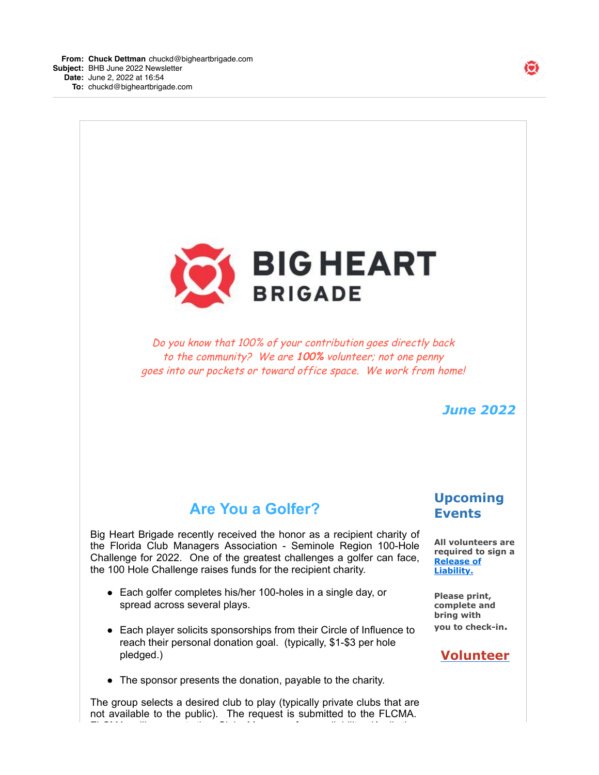



Do you know that 100% of your contribution goes directly back to the community? We are **100%** volunteer; not one penny goes into our pockets or toward office space. We work from home!

#### *June 2022*

# **Are You a Golfer?**

Big Heart Brigade recently received the honor as a recipient charity of the Florida Club Managers Association - Seminole Region 100-Hole Challenge for 2022. One of the greatest challenges a golfer can face, the 100 Hole Challenge raises funds for the recipient charity.

- Each golfer completes his/her 100-holes in a single day, or spread across several plays.
- Each player solicits sponsorships from their Circle of Influence to reach their personal donation goal. (typically, \$1-\$3 per hole pledged.)
- The sponsor presents the donation, payable to the charity.

The group selects a desired club to play (typically private clubs that are not available to the public). The request is submitted to the FLCMA. FLCMA will request the Club Manager for availability (April thru

### **Upcoming Events**

**All volunteers are required to sign a [Release of](http://bigheartbrigade.com/release-of-liability?xtr=mailinglist-1654201921795) Liability.**

**Please print, complete and bring with you to check-in.**

#### **[Volunteer](http://bigheartbrigade.com/volunteer?xtr=mailinglist-1654201921795)**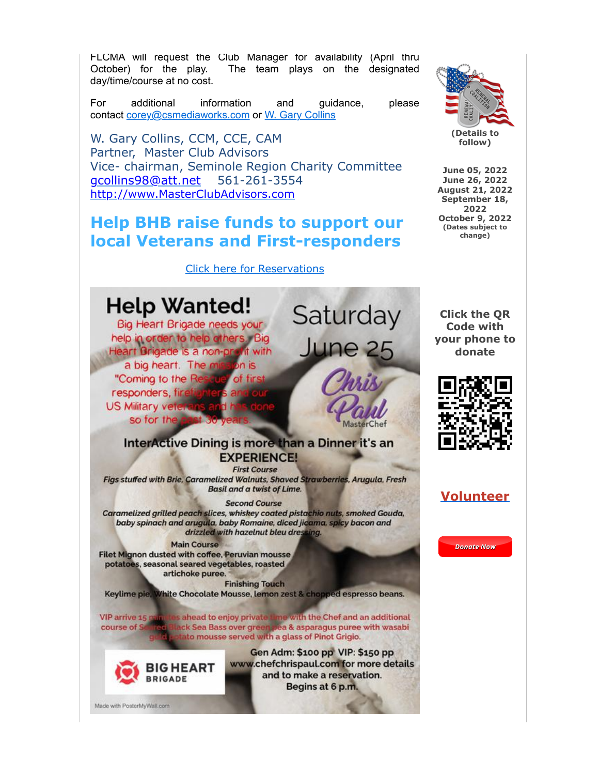FLCMA will request the Club Manager for availability (April thru October) for the play. The team plays on the designated day/time/course at no cost.

For additional information and guidance, please contact [corey@csmediaworks.com](mailto:corey@csmediaworks.com) or [W. Gary Collins](mailto:gcollins98@att.net?subject=100-hole%20question)

> **(Details to follow)**

**June 05, 2022 June 26, 2022 August 21, 2022 September 18, 2022 October 9, 2022 (Dates subject to change)**

W. Gary Collins, CCM, CCE, CAM Partner, Master Club Advisors Vice- chairman, Seminole Region Charity Committee [gcollins98@att.net](mailto:gcollins98@att.net) 561-261-3554 [http://www.MasterClubAdvisors.com](http://www.masterclubadvisors.com/)

## **Help BHB raise funds to support our local Veterans and First-responders**

Made with PosterMyWall.com

[Click here for Reservations](https://checkout.square.site/buy/VZED72IG7PNODOUSI2IBBVMI)